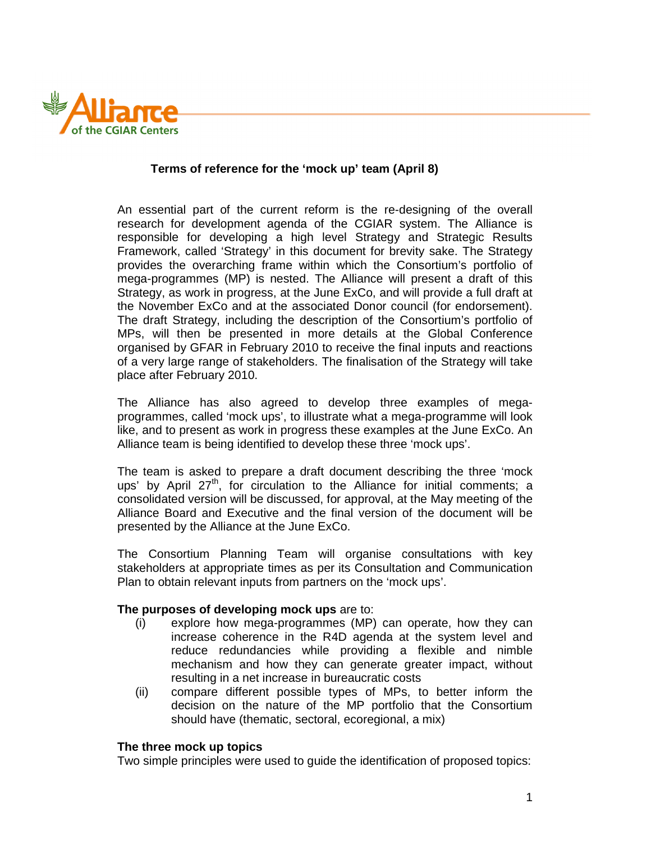

## **Terms of reference for the 'mock up' team (April 8)**

An essential part of the current reform is the re-designing of the overall research for development agenda of the CGIAR system. The Alliance is responsible for developing a high level Strategy and Strategic Results Framework, called 'Strategy' in this document for brevity sake. The Strategy provides the overarching frame within which the Consortium's portfolio of mega-programmes (MP) is nested. The Alliance will present a draft of this Strategy, as work in progress, at the June ExCo, and will provide a full draft at the November ExCo and at the associated Donor council (for endorsement). The draft Strategy, including the description of the Consortium's portfolio of MPs, will then be presented in more details at the Global Conference organised by GFAR in February 2010 to receive the final inputs and reactions of a very large range of stakeholders. The finalisation of the Strategy will take place after February 2010.

The Alliance has also agreed to develop three examples of megaprogrammes, called 'mock ups', to illustrate what a mega-programme will look like, and to present as work in progress these examples at the June ExCo. An Alliance team is being identified to develop these three 'mock ups'.

The team is asked to prepare a draft document describing the three 'mock ups' by April  $27<sup>th</sup>$ , for circulation to the Alliance for initial comments; a consolidated version will be discussed, for approval, at the May meeting of the Alliance Board and Executive and the final version of the document will be presented by the Alliance at the June ExCo.

The Consortium Planning Team will organise consultations with key stakeholders at appropriate times as per its Consultation and Communication Plan to obtain relevant inputs from partners on the 'mock ups'.

## **The purposes of developing mock ups** are to:

- (i) explore how mega-programmes (MP) can operate, how they can increase coherence in the R4D agenda at the system level and reduce redundancies while providing a flexible and nimble mechanism and how they can generate greater impact, without resulting in a net increase in bureaucratic costs
- (ii) compare different possible types of MPs, to better inform the decision on the nature of the MP portfolio that the Consortium should have (thematic, sectoral, ecoregional, a mix)

## **The three mock up topics**

Two simple principles were used to guide the identification of proposed topics: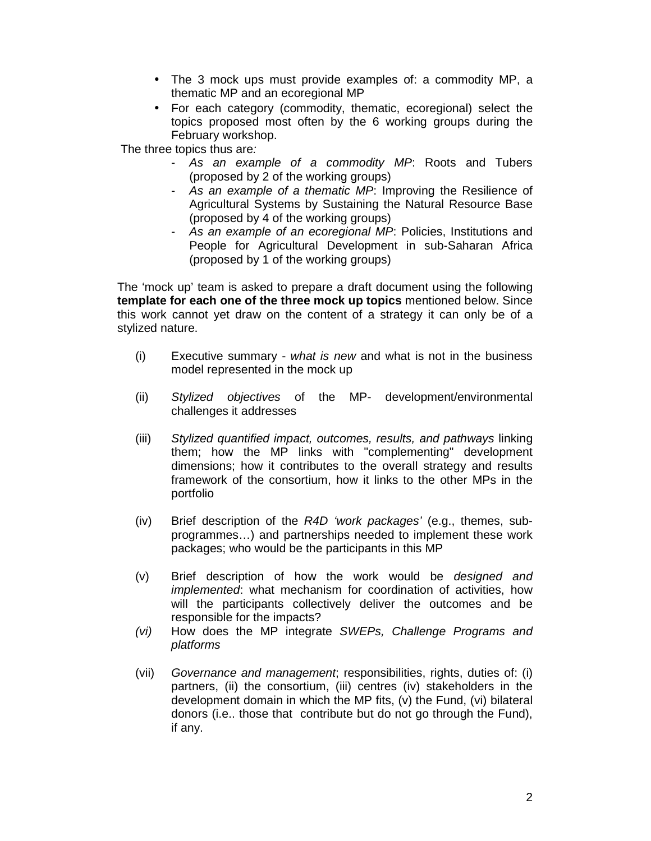- The 3 mock ups must provide examples of: a commodity MP, a thematic MP and an ecoregional MP
- For each category (commodity, thematic, ecoregional) select the topics proposed most often by the 6 working groups during the February workshop.

The three topics thus are:

- As an example of a commodity MP: Roots and Tubers (proposed by 2 of the working groups)
- As an example of a thematic MP: Improving the Resilience of Agricultural Systems by Sustaining the Natural Resource Base (proposed by 4 of the working groups)
- As an example of an ecoregional MP: Policies, Institutions and People for Agricultural Development in sub-Saharan Africa (proposed by 1 of the working groups)

The 'mock up' team is asked to prepare a draft document using the following **template for each one of the three mock up topics** mentioned below. Since this work cannot yet draw on the content of a strategy it can only be of a stylized nature.

- (i) Executive summary what is new and what is not in the business model represented in the mock up
- (ii) Stylized objectives of the MP- development/environmental challenges it addresses
- (iii) Stylized quantified impact, outcomes, results, and pathways linking them; how the MP links with "complementing" development dimensions; how it contributes to the overall strategy and results framework of the consortium, how it links to the other MPs in the portfolio
- (iv) Brief description of the R4D 'work packages' (e.g., themes, subprogrammes…) and partnerships needed to implement these work packages; who would be the participants in this MP
- (v) Brief description of how the work would be designed and implemented: what mechanism for coordination of activities, how will the participants collectively deliver the outcomes and be responsible for the impacts?
- (vi) How does the MP integrate SWEPs, Challenge Programs and platforms
- (vii) Governance and management; responsibilities, rights, duties of: (i) partners, (ii) the consortium, (iii) centres (iv) stakeholders in the development domain in which the MP fits, (v) the Fund, (vi) bilateral donors (i.e.. those that contribute but do not go through the Fund), if any.